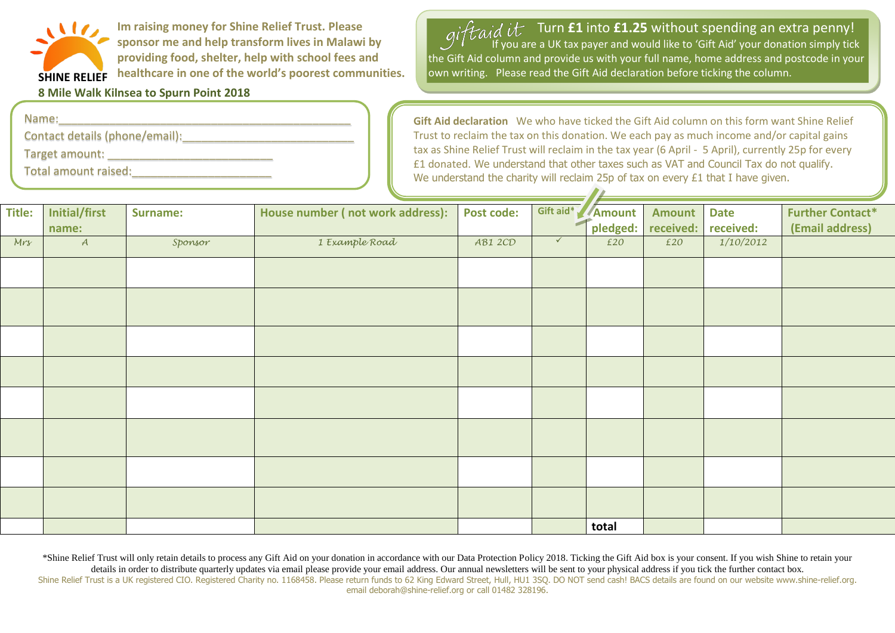

**Im raising money for Shine Relief Trust. Please sponsor me and help transform lives in Malawi by providing food, shelter, help with school fees and healthcare in one of the world's poorest communities.** 

 $\mathcal{F}$ aid i $t^-$  Turn **£1** into **£1.25** without spending an extra penny! If you are a UK tax payer and would like to 'Gift Aid' your donation simply tick the Gift Aid column and provide us with your full name, home address and postcode in your own writing. Please read the Gift Aid declaration before ticking the column.

**8 Mile Walk Kilnsea to Spurn Point 2018**

| Name:                          |  |
|--------------------------------|--|
| Contact details (phone/email): |  |
| Target amount:                 |  |

Total amount raised:

**Gift Aid declaration** We who have ticked the Gift Aid column on this form want Shine Relief Trust to reclaim the tax on this donation. We each pay as much income and/or capital gains tax as Shine Relief Trust will reclaim in the tax year (6 April - 5 April), currently 25p for every £1 donated. We understand that other taxes such as VAT and Council Tax do not qualify. We understand the charity will reclaim 25p of tax on every £1 that I have given.

|     | Title: Initial/first | Surname: | House number (not work address): Post code: Gift aid* Amount Amount Date |         |              |           |     |                              | <b>Further Contact*</b> |
|-----|----------------------|----------|--------------------------------------------------------------------------|---------|--------------|-----------|-----|------------------------------|-------------------------|
|     | name:                |          |                                                                          |         |              |           |     | pledged: received: received: | (Email address)         |
| Mrs |                      | Sponsor  | 1 Example Road                                                           | AB1 2CD | $\checkmark$ | £20       | £20 | 1/10/2012                    |                         |
|     |                      |          |                                                                          |         |              |           |     |                              |                         |
|     |                      |          |                                                                          |         |              |           |     |                              |                         |
|     |                      |          |                                                                          |         |              |           |     |                              |                         |
|     |                      |          |                                                                          |         |              |           |     |                              |                         |
|     |                      |          |                                                                          |         |              |           |     |                              |                         |
|     |                      |          |                                                                          |         |              |           |     |                              |                         |
|     |                      |          |                                                                          |         |              |           |     |                              |                         |
|     |                      |          |                                                                          |         |              |           |     |                              |                         |
|     |                      |          |                                                                          |         |              |           |     |                              |                         |
|     |                      |          |                                                                          |         |              |           |     |                              |                         |
|     |                      |          |                                                                          |         |              |           |     |                              |                         |
|     |                      |          |                                                                          |         |              |           |     |                              |                         |
|     |                      |          |                                                                          |         |              |           |     |                              |                         |
|     |                      |          |                                                                          |         |              |           |     |                              |                         |
|     |                      |          |                                                                          |         |              |           |     |                              |                         |
|     |                      |          |                                                                          |         |              |           |     |                              |                         |
|     |                      |          |                                                                          |         |              |           |     |                              |                         |
|     |                      |          |                                                                          |         |              | $ $ total |     |                              |                         |
|     |                      |          |                                                                          |         |              |           |     |                              |                         |

\*Shine Relief Trust will only retain details to process any Gift Aid on your donation in accordance with our Data Protection Policy 2018. Ticking the Gift Aid box is your consent. If you wish Shine to retain your details in order to distribute quarterly updates via email please provide your email address. Our annual newsletters will be sent to your physical address if you tick the further contact box. Shine Relief Trust is a UK registered CIO. Registered Charity no. 1168458. Please return funds to 62 King Edward Street, Hull, HU1 3SQ. DO NOT send cash! BACS details are found on our website www.shine-relief.org. email deborah@shine-relief.org or call 01482 328196.